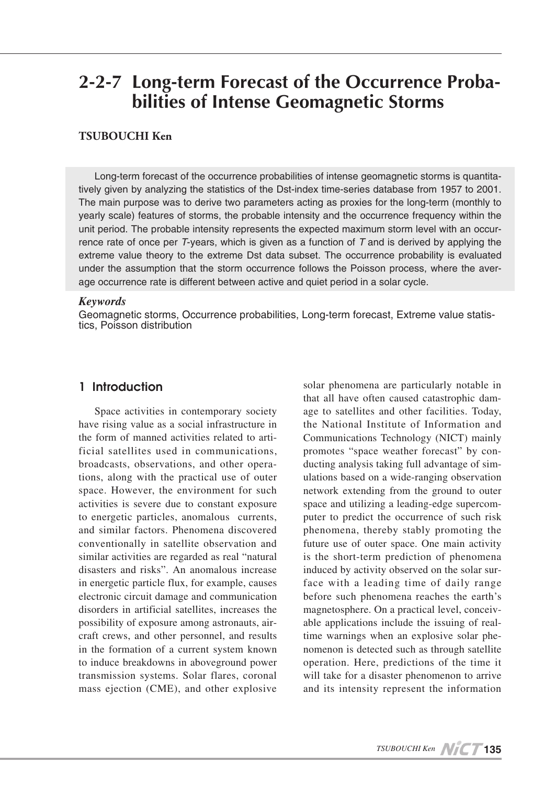# **Stormar Extem Forecast of the Occurrence Proba-**<br> **Probabilities of Intense Geomagnetic Storms**

### **TSUBOUCHI** Ken

tively given by analyzing the statistics of the Dst-index time-series database from 1957 to 2001. Long-term forecast of the occurrence probabilities of intense geomagnetic storms is quantita-The main purpose was to derive two parameters acting as proxies for the long-term (monthly to yearly scale) features of storms, the probable intensity and the occurrence frequency within the rence rate of once per  $T$ -years, which is given as a function of  $T$  and is derived by applying the unit period. The probable intensity represents the expected maximum storm level with an occurextreme value theory to the extreme Dst data subset. The occurrence probability is evaluated under the assumption that the storm occurrence follows the Poisson process, where the aver-<br>age occurrence rate is different between active and quiet period in a solar cycle.

#### *Keywords*

Geomagnetic storms, Occurrence probabilities, Long-term forecast, Extreme value statis-<br>tics, Poisson distribution

## Introduction 1

Space activities in contemporary society have rising value as a social infrastructure in ficial satellites used in communications, the form of manned activities related to artitions, along with the practical use of outer broadcasts, observations, and other operaspace. However, the environment for such activities is severe due to constant exposure to energetic particles, anomalous currents, and similar factors. Phenomena discovered conventionally in satellite observation and similar activities are regarded as real "natural disasters and risks". An anomalous increase in energetic particle flux, for example, causes electronic circuit damage and communication disorders in artificial satellites, increases the possibility of exposure among astronauts, air-<br>craft crews, and other personnel, and results in the formation of a current system known to induce breakdowns in aboveground power transmission systems. Solar flares, coronal mass ejection (CME), and other explosive

solar phenomena are particularly notable in that all have often caused catastrophic dam-<br>age to satellites and other facilities. Today, the National Institute of Information and Communications Technology (NICT) mainly ducting analysis taking full advantage of simulations based on a wide-ranging observation promotes "space weather forecast" by con-<br>ducting analysis taking full advantage of simnetwork extending from the ground to outer space and utilizing a leading-edge supercom-<br>puter-to-predict the occurrence of such risk phenomena, thereby stably promoting the future use of outer space. One main activity is the short-term prediction of phenomena face with a leading time of daily range induced by activity observed on the solar surbefore such phenomena reaches the earth's time warnings when an explosive solar phenomenon is detected such as through satellite able applications include the issuing of realmagnetosphere. On a practical level, conceivable applications include the issuing of realoperation. Here, predictions of the time it will take for a disaster phenomenon to arrive and its intensity represent the information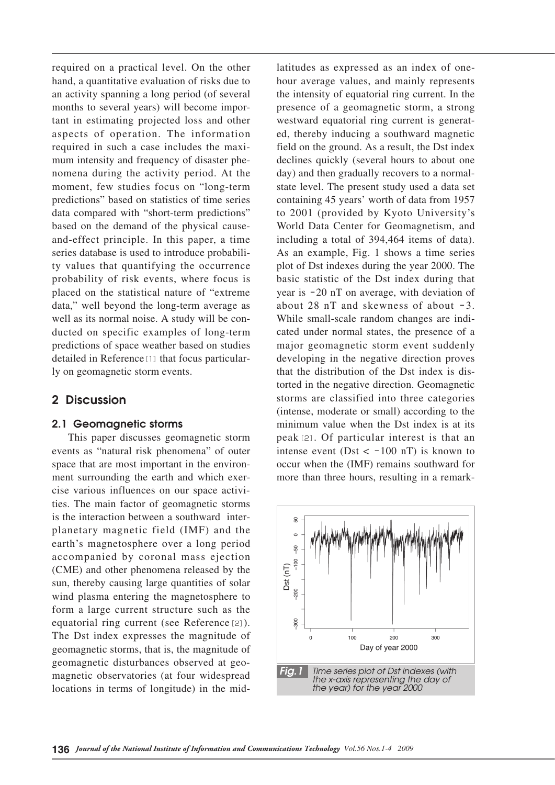required on a practical level. On the other hand, a quantitative evaluation of risks due to an activity spanning a long period (of several tant in estimating projected loss and other months to several years) will become imporaspects of operation. The information nomena during the activity period. At the mum intensity and frequency of disaster pherequired in such a case includes the maximoment, few studies focus on "long-term" predictions" based on statistics of time series data compared with "short-term predictions" and-effect principle. In this paper, a time based on the demand of the physical causety values that quantifying the occurrence series database is used to introduce probabiliprobability of risk events, where focus is placed on the statistical nature of "extreme" data," well beyond the long-term average as well as its normal noise. A study will be con-<br>ducted-on specific examples of long-term predictions of space weather based on studies detailed in Reference [1] that focus particular-<br>ly on geomagnetic storm events.

## 2 Discussion

## 2.1 Geomagnetic storms

This paper discusses geomagnetic storm events as "natural risk phenomena" of outer ties. The main factor of geomagnetic storms ment surrounding the earth and which exer-<br>cise various influences on our space activispace that are most important in the environ-<br>ment-surrounding the earth and which exerplanetary magnetic field (IMF) and the is the interaction between a southward interearth's magnetosphere over a long period accompanied by coronal mass ejection (CME) and other phenomena released by the sun, thereby causing large quantities of solar wind plasma entering the magnetosphere to form a large current structure such as the equatorial ring current (see Reference  $[2]$ ). The Dst index expresses the magnitude of geomagnetic storms, that is, the magnitude of magnetic observatories (at four widespread geomagnetic disturbances observed at geolocations in terms of longitude) in the mid-

latitudes as expressed as an index of one-<br>hour average values, and mainly represents Formulation are a suppressed as an index of one<br>
one to the intensity of equatorial ring current. In the<br>
presence of a geomagnetic storm, a strong<br>
restance of a geomagnetic storm, a strong<br>
restance of a geomagnetic sto the intensity of equatorial ring current. In the presence of a geomagnetic storm, a strong ed, thereby inducing a southward magnetic westward equatorial ring current is generatfield on the ground. As a result, the Dst index declines quickly (several hours to about one day) and then gradually recovers to a normal-<br>state-level. The present study used a data set containing 45 years' worth of data from 1957 to 2001 (provided by Kyoto University's World Data Center for Geomagnetism, and including a total of 394,464 items of data). As an example, Fig. 1 shows a time series plot of Dst indexes during the year 2000. The basic statistic of the Dst index during that year is  $-20$  nT on average, with deviation of about  $28$  nT and skewness of about  $-3$ . While small-scale random changes are indicated under normal states, the presence of a major geomagnetic storm event suddenly developing in the negative direction proves that the distribution of the Dst index is distorted in the negative direction. Geomagnetic storms are classified into three categories (intense, moderate or small) according to the minimum value when the Dst index is at its peak  $[2]$ . Of particular interest is that an intense event (Dst  $\langle -100 \text{ nT} \rangle$  is known to occur when the (IMF) remains southward for more than three hours, resulting in a remark-

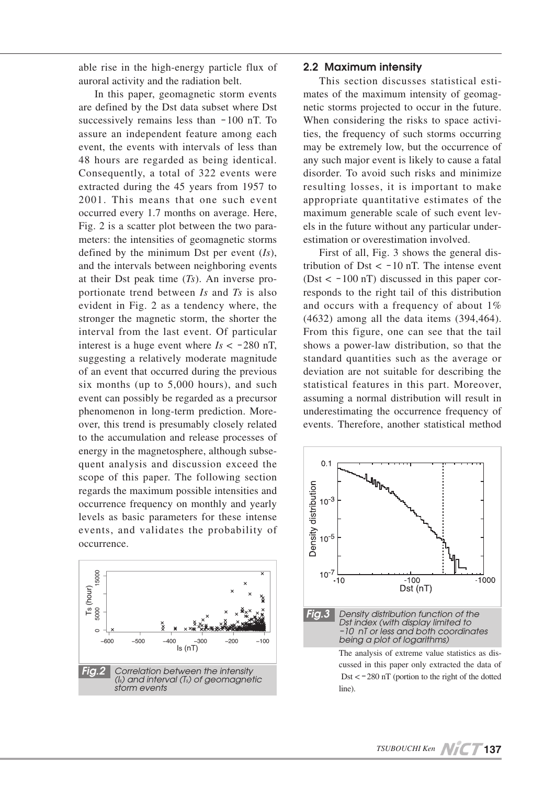able rise in the high-energy particle flux of auroral activity and the radiation belt.

In this paper, geomagnetic storm events are defined by the Dst data subset where Dst successively remains less than  $-100$  nT. To assure an independent feature among each event, the events with intervals of less than 48 hours are regarded as being identical. Consequently, a total of 322 events were extracted during the  $45$  years from 1957 to 2001. This means that one such event occurred every 1.7 months on average. Here, meters: the intensities of geomagnetic storms Fig. 2 is a scatter plot between the two paradefined by the minimum Dst per event  $(Is)$ , and the intervals between neighboring events at their Dst peak time (*Ts*). An inverse pro-<br>portionate trend between *Is* and *Ts* is also evident in Fig. 2 as a tendency where, the stronger the magnetic storm, the shorter the interval from the last event. Of particular interest is a huge event where  $Is < -280$  nT, suggesting a relatively moderate magnitude of an event that occurred during the previous six months (up to  $5,000$  hours), and such event can possibly be regarded as a precursor phenomenon in long-term prediction. More-<br>over, this trend is presumably closely related to the accumulation and release processes of energy in the magnetosphere, although subse-<br>quent-analysis and discussion exceed the scope of this paper. The following section regards the maximum possible intensities and occurrence frequency on monthly and yearly levels as basic parameters for these intense events, and validates the probability of .occurrence



#### 2.2 Maximum intensity

netic storms projected to occur in the future. mates of the maximum intensity of geomag-This section discusses statistical estities, the frequency of such storms occurring When considering the risks to space activimay be extremely low, but the occurrence of any such major event is likely to cause a fatal disorder. To avoid such risks and minimize resulting losses, it is important to make appropriate quantitative estimates of the els in the future without any particular under-<br>estimation or overestimation involved. maximum generable scale of such event levels in the future without any particular under-

tribution of  $Dst < -10$  nT. The intense event First of all, Fig. 3 shows the general dis- $(\text{Dst} < -100 \text{ nT})$  discussed in this paper corresponds to the right tail of this distribution and occurs with a frequency of about  $1\%$  $(4632)$  among all the data items  $(394, 464)$ . From this figure, one can see that the tail shows a power-law distribution, so that the standard quantities such as the average or deviation are not suitable for describing the statistical features in this part. Moreover, assuming a normal distribution will result in underestimating the occurrence frequency of events. Therefore, another statistical method

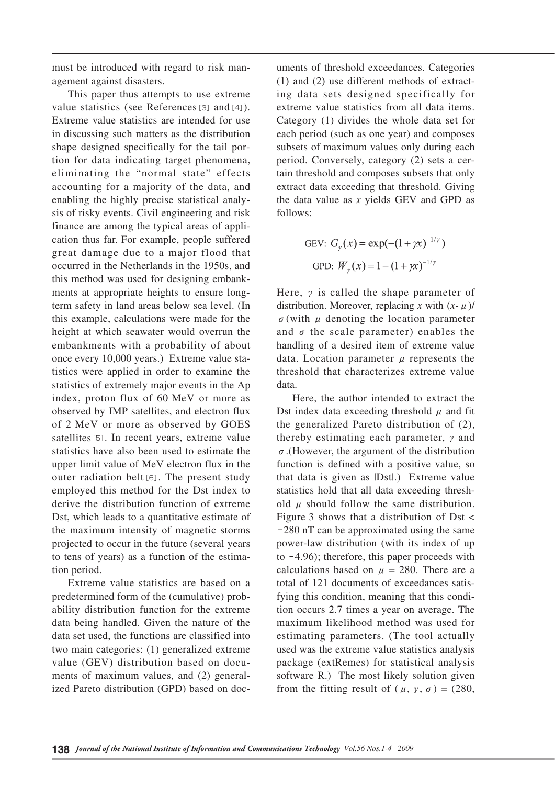must be introduced with regard to risk man-<br>agement against disasters.

This paper thus attempts to use extreme value statistics (see References  $[3]$  and  $[4]$ ). Extreme value statistics are intended for use in discussing such matters as the distribution tion for data indicating target phenomena, shape designed specifically for the tail poreliminating the "normal state" effects accounting for a majority of the data, and sis of risky events. Civil engineering and risk enabling the highly precise statistical analycation thus far. For example, people suffered finance are among the typical areas of appligreat damage due to a major flood that occurred in the Netherlands in the 1950s, and ments at appropriate heights to ensure long-<br>term safety in land areas below sea level. (In this method was used for designing embank-<br>ments at appropriate heights to ensure longthis example, calculations were made for the height at which seawater would overrun the embankments with a probability of about tistics were applied in order to examine the once every 10,000 years.) Extreme value stastatistics of extremely major events in the Ap index, proton flux of 60 MeV or more as observed by IMP satellites, and electron flux of 2 MeV or more as observed by GOES satellites [5]. In recent years, extreme value statistics have also been used to estimate the upper limit value of MeV electron flux in the outer radiation belt [6]. The present study employed this method for the Dst index to derive the distribution function of extreme Dst, which leads to a quantitative estimate of the maximum intensity of magnetic storms projected to occur in the future (several years to tens of years) as a function of the estimation period.

Extreme value statistics are based on a predetermined form of the (cumulative) prob-<br>ability distribution function for the extreme data being handled. Given the nature of the data set used, the functions are classified into two main categories: (1) generalized extreme ized Pareto distribution (GPD) based on docments of maximum values, and  $(2)$  generalvalue (GEV) distribution based on docu-

 $f(1)$  and  $f(2)$  use different methods of extracting data sets designed specifically for extreme value statistics from all data items. Category  $(1)$  divides the whole data set for each period (such as one year) and composes subsets of maximum values only during each tain threshold and composes subsets that only period. Conversely, category (2) sets a cerextract data exceeding that threshold. Giving the data value as  $x$  yields  $GEV$  and  $GPD$  as :follows

GEV: 
$$
G_{\gamma}(x) = \exp(-(1 + \gamma x)^{-1/\gamma})
$$
  
GPD:  $W_{\gamma}(x) = 1 - (1 + \gamma x)^{-1/\gamma}$ 

Here,  $\nu$  is called the shape parameter of distribution. Moreover, replacing x with  $(x - \mu)$ /  $\sigma$ (with  $\mu$  denoting the location parameter and  $\sigma$  the scale parameter) enables the handling of a desired item of extreme value data. Location parameter  $\mu$  represents the threshold that characterizes extreme value .data

unnents of threshold exceedances. Categories<br>
(1) and (2) use different methods of extractive<br>
ing data sets designed specifically for<br>
certreme value statistics from all data iterna.<br>
Category (1) divides the whole data Here, the author intended to extract the Dst index data exceeding threshold  $\mu$  and fit the generalized Pareto distribution of  $(2)$ , thereby estimating each parameter,  $\gamma$  and  $\sigma$ . (However, the argument of the distribution function is defined with a positive value, so that data is given as  $|Dst|$ . Extreme value old  $\mu$  should follow the same distribution. statistics hold that all data exceeding thresh-Figure 3 shows that a distribution of Dst  $\lt$  $-280$  nT can be approximated using the same power-law distribution (with its index of up to  $-4.96$ ; therefore, this paper proceeds with calculations based on  $\mu = 280$ . There are a tion occurs 2.7 times a year on average. The fying this condition, meaning that this conditotal of 121 documents of exceedances satismaximum likelihood method was used for estimating parameters. (The tool actually used was the extreme value statistics analysis package (extRemes) for statistical analysis software R.) The most likely solution given from the fitting result of  $(\mu, \gamma, \sigma) = (280,$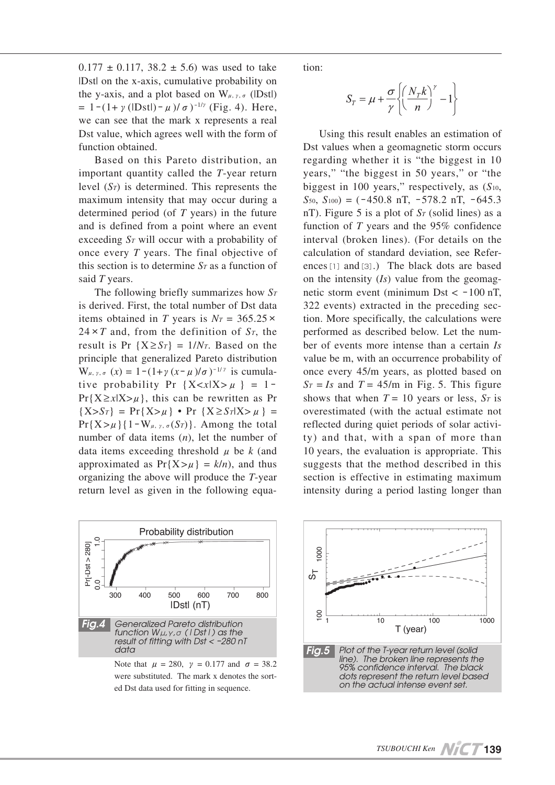$0.177 \pm 0.117$ ,  $38.2 \pm 5.6$  was used to take Dst on the x-axis, cumulative probability on the y-axis, and a plot based on  $W_{\mu, \gamma, \sigma}$  (IDstl)  $= 1 - (1 + \gamma (|\text{Dst}|) - \mu)/\sigma$ )<sup>-1/γ</sup> (Fig. 4). Here, we can see that the mark x represents a real Dst value, which agrees well with the form of function obtained.

Based on this Pareto distribution. an important quantity called the T-year return level  $(S_T)$  is determined. This represents the maximum intensity that may occur during a determined period (of  $T$  years) in the future and is defined from a point where an event exceeding S<sub>T</sub> will occur with a probability of once every *T* years. The final objective of this section is to determine  $S_T$  as a function of said T years.

The following briefly summarizes how  $S_T$ is derived. First, the total number of Dst data items obtained in T years is  $N_T = 365.25 \times$  $24 \times T$  and, from the definition of  $S_T$ , the result is Pr  $\{X \geq S_T\} = 1/N_T$ . Based on the principle that generalized Pareto distribution  $W_{\mu, \gamma, \sigma}(x) = 1 - (1 + \gamma (x - \mu)/\sigma)^{-1/\gamma}$  is cumulative probability Pr {X<xlX>  $\mu$ } = 1- $Pr{X \ge x | X > \mu}$ , this can be rewritten as Pr  ${X>S_T} = Pr{X > \mu} \cdot Pr{X \ge S_T | X > \mu} =$  $\Pr\{X > \mu\}$ {1-W<sub>μ, γ, σ</sub>(S<sub>T</sub>)}. Among the total number of data items  $(n)$ , let the number of data items exceeding threshold  $\mu$  be  $k$  (and approximated as  $Pr{X > \mu} = k/n$ , and thus organizing the above will produce the T-year return level as given in the following equa-



were substituted. The mark x denotes the sorted Dst data used for fitting in sequence.

tion:

$$
S_T = \mu + \frac{\sigma}{\gamma} \left\{ \left( \frac{N_T k}{n} \right)^{\gamma} - 1 \right\}
$$

e tion:<br>
n<br>
b;<br>
d<br>
f<br>
f<br>
L<br>
Dst rega<br>
r<br>
r<br>
m<br>
n<br>
r<br>
e bigg<br>
S<sub>50</sub>, n<br>
f<br>
f<br>
f<br>
f<br>
f<br>
f<br>
f<br>
f<br>
f<br>
f<br>
metic<br>
dec on tl<br>
netic<br>
dec on tl<br>
metic<br>  $\frac{322}{100}$ <br>
t<br>
e perf(ber valu-<br>
once<br>  $S_T =$ <br>
show<br>
over<br>  $\frac{S_T}{T} =$ <br>
show Using this result enables an estimation of Dst values when a geomagnetic storm occurs regarding whether it is "the biggest in 10 years," "the biggest in 50 years," or "the biggest in 100 years," respectively, as  $(S_{10}$ ,  $S_{50}$ ,  $S_{100}$  = (-450.8 nT, -578.2 nT, -645.3 nT). Figure 5 is a plot of  $S_T$  (solid lines) as a function of  $T$  years and the  $95\%$  confidence interval (broken lines). (For details on the  $\text{ences}[1]$  and [3].) The black dots are based calculation of standard deviation, see Referon the intensity  $(Is)$  value from the geomagnetic storm event (minimum Dst  $\lt$  -100 nT, tion. More specifically, the calculations were 322 events) extracted in the preceding secperformed as described below. Let the num-<br>ber of events more intense than a certain Is value be m, with an occurrence probability of once every 45/m years, as plotted based on  $S_T = Is$  and  $T = 45/m$  in Fig. 5. This figure shows that when  $T = 10$  years or less,  $S_T$  is overestimated (with the actual estimate not  $ty)$  and that, with a span of more than reflected during quiet periods of solar activi-10 years, the evaluation is appropriate. This suggests that the method described in this section is effective in estimating maximum intensity during a period lasting longer than



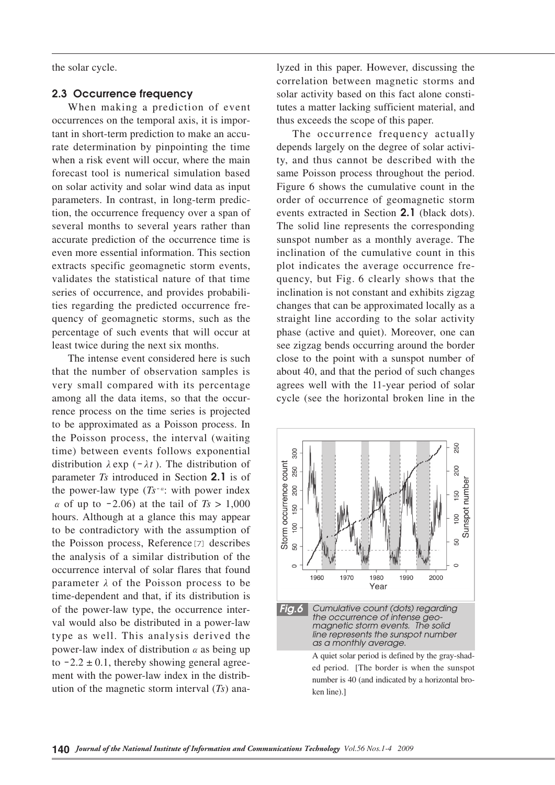the solar cycle.

#### 2.3 Occurrence frequency

When making a prediction of event rate determination by pinpointing the time tant in short-term prediction to make an accuoccurrences on the temporal axis, it is imporwhen a risk event will occur, where the main forecast tool is numerical simulation based on solar activity and solar wind data as input tion, the occurrence frequency over a span of parameters. In contrast, in long-term predicseveral months to several years rather than accurate prediction of the occurrence time is even more essential information. This section extracts specific geomagnetic storm events, validates the statistical nature of that time quency of geomagnetic storms, such as the ties regarding the predicted occurrence freseries of occurrence, and provides probabilipercentage of such events that will occur at least twice during the next six months.

The intense event considered here is such that the number of observation samples is very small compared with its percentage rence process on the time series is projected among all the data items, so that the occurto be approximated as a Poisson process. In the Poisson process, the interval (waiting time) between events follows exponential distribution  $\lambda$  exp ( $-\lambda t$ ). The distribution of parameter *Ts* introduced in Section 2.1 is of the power-law type  $(Ts^{-\alpha}$ : with power index  $\alpha$  of up to  $-2.06$ ) at the tail of  $Ts > 1,000$ hours. Although at a glance this may appear to be contradictory with the assumption of the Poisson process, Reference [7] describes the analysis of a similar distribution of the occurrence interval of solar flares that found parameter  $\lambda$  of the Poisson process to be time-dependent and that, if its distribution is val would also be distributed in a power-law of the power-law type, the occurrence intertype as well. This analysis derived the power-law index of distribution  $\alpha$  as being up ution of the magnetic storm interval  $(T_s)$  anament with the power-law index in the distribto  $-2.2 \pm 0.1$ , thereby showing general agreecorrelation between magnetic storms and tutes a matter lacking sufficient material, and solar activity based on this fact alone constithus exceeds the scope of this paper.

The occurrence frequency actually depends largely on the degree of solar activi-<br>ty, and thus cannot be described with the same Poisson process throughout the period. Figure 6 shows the cumulative count in the order of occurrence of geomagnetic storm events extracted in Section 2.1 (black dots). The solid line represents the corresponding sunspot number as a monthly average. The inclination of the cumulative count in this quency, but Fig. 6 clearly shows that the plot indicates the average occurrence freinclination is not constant and exhibits zigzag changes that can be approximated locally as a straight line according to the solar activity phase (active and quiet). Moreover, one can see zigzag bends occurring around the border close to the point with a sunspot number of about 40, and that the period of such changes agrees well with the 11-year period of solar cycle (see the horizontal broken line in the

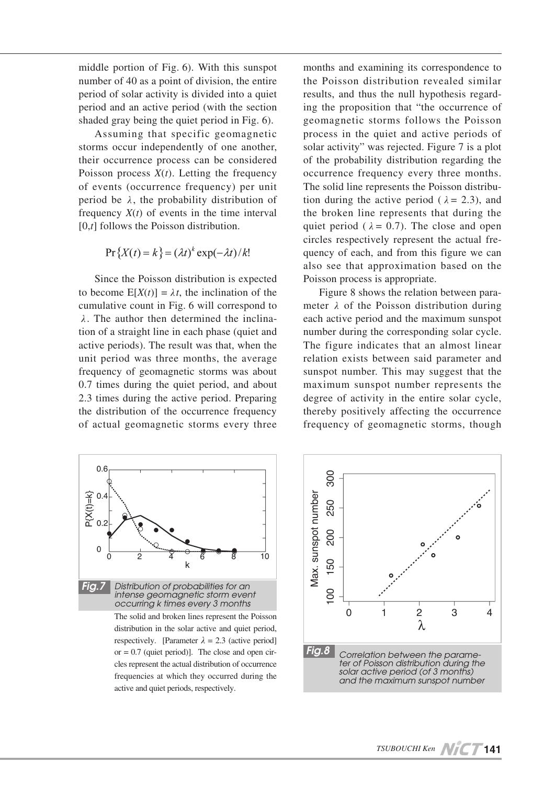middle portion of Fig.  $6$ ). With this sunspot number of 40 as a point of division, the entire period of solar activity is divided into a quiet period and an active period (with the section shaded gray being the quiet period in Fig.  $6$ ).

Assuming that specific geomagnetic storms occur independently of one another, their occurrence process can be considered Poisson process  $X(t)$ . Letting the frequency of events (occurrence frequency) per unit period be  $\lambda$ , the probability distribution of frequency  $X(t)$  of events in the time interval  $[0,t]$  follows the Poisson distribution.

$$
Pr\{X(t) = k\} = (\lambda t)^{k} \exp(-\lambda t) / k!
$$

Since the Poisson distribution is expected to become  $E[X(t)] = \lambda t$ , the inclination of the cumulative count in Fig. 6 will correspond to tion of a straight line in each phase (quiet and  $\lambda$ . The author then determined the inclinaactive periods). The result was that, when the unit period was three months, the average frequency of geomagnetic storms was about 0.7 times during the quiet period, and about 2.3 times during the active period. Preparing the distribution of the occurrence frequency of actual geomagnetic storms every three months and examining its correspondence to the Poisson distribution revealed similar ing the proposition that "the occurrence of results, and thus the null hypothesis regardgeomagnetic storms follows the Poisson process in the quiet and active periods of solar activity" was rejected. Figure 7 is a plot of the probability distribution regarding the occurrence frequency every three months. The solid line represents the Poisson distribution during the active period ( $\lambda = 2.3$ ), and the broken line represents that during the quiet period ( $\lambda = 0.7$ ). The close and open circles respectively represent the actual frequency of each, and from this figure we can also see that approximation based on the Poisson process is appropriate.

meter  $\lambda$  of the Poisson distribution during Figure 8 shows the relation between paraeach active period and the maximum sunspot number during the corresponding solar cycle. The figure indicates that an almost linear relation exists between said parameter and sunspot number. This may suggest that the maximum sunspot number represents the degree of activity in the entire solar cycle, thereby positively affecting the occurrence frequency of geomagnetic storms, though



distribution in the solar active and quiet period, respectively. [Parameter  $\lambda = 2.3$  (active period] cles represent the actual distribution of occurrence or  $= 0.7$  (quiet period)]. The close and open cirfrequencies at which they occurred during the active and quiet periods, respectively.

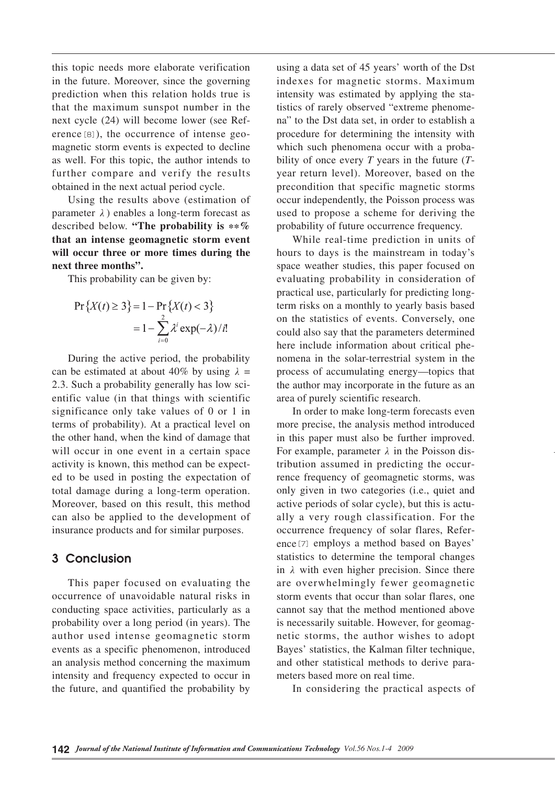this topic needs more elaborate verification in the future. Moreover, since the governing prediction when this relation holds true is that the maximum sunspot number in the magnetic storm events is expected to decline erence  $[8]$ ), the occurrence of intense geonext cycle (24) will become lower (see Refas well. For this topic, the author intends to further compare and verify the results obtained in the next actual period cycle.

Using the results above (estimation of parameter  $\lambda$ ) enables a long-term forecast as described below. "The probability is  $**\%$ that an intense geomagnetic storm event will occur three or more times during the hext three months".

This probability can be given by:

$$
\Pr\{X(t) \ge 3\} = 1 - \Pr\{X(t) < 3\}
$$
\n
$$
= 1 - \sum_{i=0}^{2} \lambda^{i} \exp(-\lambda) / i!
$$

During the active period, the probability can be estimated at about 40% by using  $\lambda =$ entific value (in that things with scientific 2.3. Such a probability generally has low scisignificance only take values of  $0$  or  $1$  in terms of probability). At a practical level on the other hand, when the kind of damage that will occur in one event in a certain space ed to be used in posting the expectation of activity is known, this method can be expecttotal damage during a long-term operation. Moreover, based on this result, this method can also be applied to the development of insurance products and for similar purposes.

## 3 Conclusion

This paper focused on evaluating the occurrence of unavoidable natural risks in conducting space activities, particularly as a probability over a long period (in years). The author used intense geomagnetic storm events as a specific phenomenon, introduced an analysis method concerning the maximum intensity and frequency expected to occur in the future, and quantified the probability by

using a data set of 45 years' worth of the Dst indexes for magnetic storms. Maximum tistics of rarely observed "extreme phenome-<br>na" to the Dst data set, in order to establish a intensity was estimated by applying the statistics of rarely observed "extreme phenomeintensity was estimated by applying the staprocedure for determining the intensity with year return level). Moreover, based on the bility of once every  $T$  years in the future  $(T - T)$ which such phenomena occur with a probaprecondition that specific magnetic storms occur independently, the Poisson process was used to propose a scheme for deriving the probability of future occurrence frequency.

While real-time prediction in units of hours to days is the mainstream in today's space weather studies, this paper focused on evaluating probability in consideration of term risks on a monthly to yearly basis based practical use, particularly for predicting longon the statistics of events. Conversely, one could also say that the parameters determined nomena in the solar-terrestrial system in the here include information about critical pheprocess of accumulating energy—topics that the author may incorporate in the future as an area of purely scientific research.

In order to make long-term forecasts even more precise, the analysis method introduced in this paper must also be further improved. tribution assumed in predicting the occurrence frequency of geomagnetic storms, was For example, parameter  $\lambda$  in the Poisson distribution assumed in predicting the occuronly given in two categories (i.e., quiet and active periods of solar cycle), but this is actually a very rough classification. For the ence<sup>[7]</sup> employs a method based on Bayes' occurrence frequency of solar flares, Referstatistics to determine the temporal changes in  $\lambda$  with even higher precision. Since there are overwhelmingly fewer geomagnetic storm events that occur than solar flares, one cannot say that the method mentioned above netic storms, the author wishes to adopt is necessarily suitable. However, for geomag-Bayes' statistics, the Kalman filter technique, and other statistical methods to derive para-<br>meters based more on real time.

In considering the practical aspects of